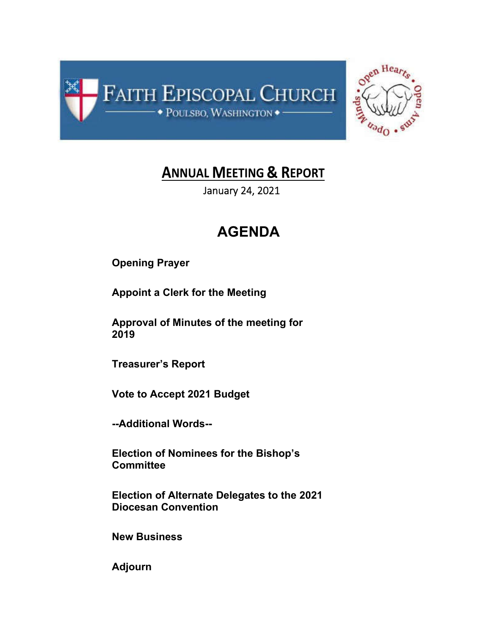



## **ANNUAL MEETING & REPORT**

January 24, 2021

# **AGENDA**

**Opening Prayer**

**Appoint a Clerk for the Meeting**

**Approval of Minutes of the meeting for 2019**

**Treasurer's Report**

**Vote to Accept 2021 Budget**

**--Additional Words--**

**Election of Nominees for the Bishop's Committee**

**Election of Alternate Delegates to the 2021 Diocesan Convention**

**New Business**

**Adjourn**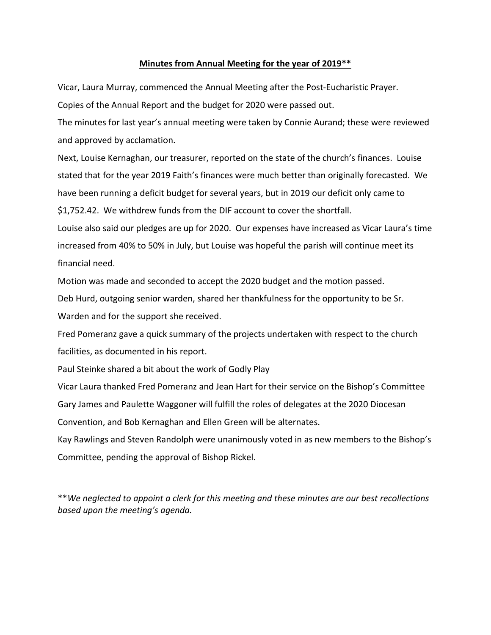## **Minutes from Annual Meeting for the year of 2019\*\***

Vicar, Laura Murray, commenced the Annual Meeting after the Post-Eucharistic Prayer.

Copies of the Annual Report and the budget for 2020 were passed out.

The minutes for last year's annual meeting were taken by Connie Aurand; these were reviewed and approved by acclamation.

Next, Louise Kernaghan, our treasurer, reported on the state of the church's finances. Louise stated that for the year 2019 Faith's finances were much better than originally forecasted. We have been running a deficit budget for several years, but in 2019 our deficit only came to \$1,752.42. We withdrew funds from the DIF account to cover the shortfall.

Louise also said our pledges are up for 2020. Our expenses have increased as Vicar Laura's time increased from 40% to 50% in July, but Louise was hopeful the parish will continue meet its financial need.

Motion was made and seconded to accept the 2020 budget and the motion passed.

Deb Hurd, outgoing senior warden, shared her thankfulness for the opportunity to be Sr.

Warden and for the support she received.

Fred Pomeranz gave a quick summary of the projects undertaken with respect to the church facilities, as documented in his report.

Paul Steinke shared a bit about the work of Godly Play

Vicar Laura thanked Fred Pomeranz and Jean Hart for their service on the Bishop's Committee Gary James and Paulette Waggoner will fulfill the roles of delegates at the 2020 Diocesan Convention, and Bob Kernaghan and Ellen Green will be alternates.

Kay Rawlings and Steven Randolph were unanimously voted in as new members to the Bishop's Committee, pending the approval of Bishop Rickel.

\*\**We neglected to appoint a clerk for this meeting and these minutes are our best recollections based upon the meeting's agenda.*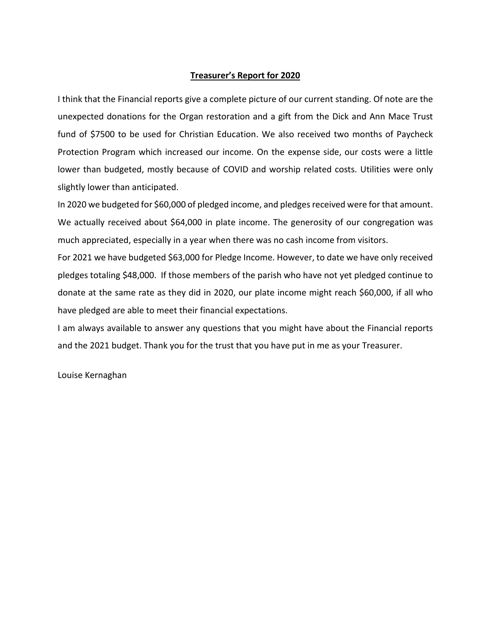## **Treasurer's Report for 2020**

I think that the Financial reports give a complete picture of our current standing. Of note are the unexpected donations for the Organ restoration and a gift from the Dick and Ann Mace Trust fund of \$7500 to be used for Christian Education. We also received two months of Paycheck Protection Program which increased our income. On the expense side, our costs were a little lower than budgeted, mostly because of COVID and worship related costs. Utilities were only slightly lower than anticipated.

In 2020 we budgeted for \$60,000 of pledged income, and pledges received were for that amount. We actually received about \$64,000 in plate income. The generosity of our congregation was much appreciated, especially in a year when there was no cash income from visitors.

For 2021 we have budgeted \$63,000 for Pledge Income. However, to date we have only received pledges totaling \$48,000. If those members of the parish who have not yet pledged continue to donate at the same rate as they did in 2020, our plate income might reach \$60,000, if all who have pledged are able to meet their financial expectations.

I am always available to answer any questions that you might have about the Financial reports and the 2021 budget. Thank you for the trust that you have put in me as your Treasurer.

Louise Kernaghan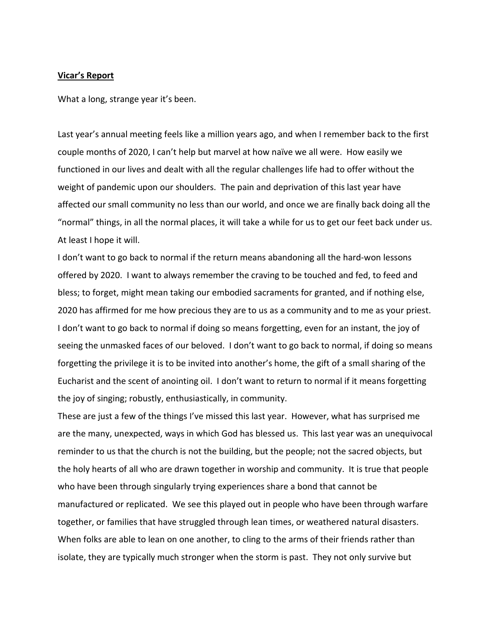#### **Vicar's Report**

What a long, strange year it's been.

Last year's annual meeting feels like a million years ago, and when I remember back to the first couple months of 2020, I can't help but marvel at how naïve we all were. How easily we functioned in our lives and dealt with all the regular challenges life had to offer without the weight of pandemic upon our shoulders. The pain and deprivation of this last year have affected our small community no less than our world, and once we are finally back doing all the "normal" things, in all the normal places, it will take a while for us to get our feet back under us. At least I hope it will.

I don't want to go back to normal if the return means abandoning all the hard-won lessons offered by 2020. I want to always remember the craving to be touched and fed, to feed and bless; to forget, might mean taking our embodied sacraments for granted, and if nothing else, 2020 has affirmed for me how precious they are to us as a community and to me as your priest. I don't want to go back to normal if doing so means forgetting, even for an instant, the joy of seeing the unmasked faces of our beloved. I don't want to go back to normal, if doing so means forgetting the privilege it is to be invited into another's home, the gift of a small sharing of the Eucharist and the scent of anointing oil. I don't want to return to normal if it means forgetting the joy of singing; robustly, enthusiastically, in community.

These are just a few of the things I've missed this last year. However, what has surprised me are the many, unexpected, ways in which God has blessed us. This last year was an unequivocal reminder to us that the church is not the building, but the people; not the sacred objects, but the holy hearts of all who are drawn together in worship and community. It is true that people who have been through singularly trying experiences share a bond that cannot be manufactured or replicated. We see this played out in people who have been through warfare together, or families that have struggled through lean times, or weathered natural disasters. When folks are able to lean on one another, to cling to the arms of their friends rather than isolate, they are typically much stronger when the storm is past. They not only survive but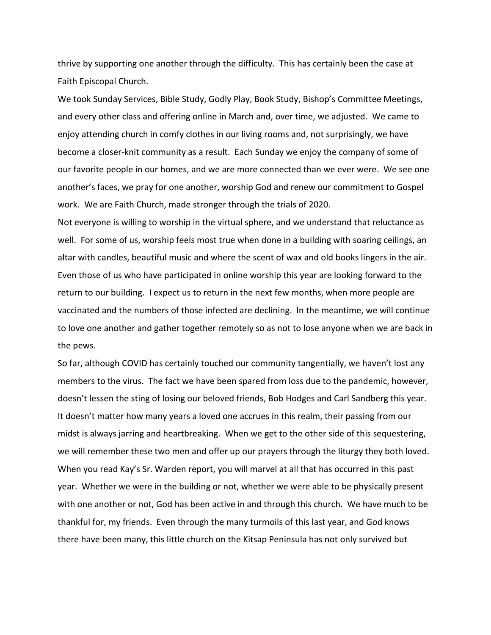thrive by supporting one another through the difficulty. This has certainly been the case at Faith Episcopal Church.

We took Sunday Services, Bible Study, Godly Play, Book Study, Bishop's Committee Meetings, and every other class and offering online in March and, over time, we adjusted. We came to enjoy attending church in comfy clothes in our living rooms and, not surprisingly, we have become a closer-knit community as a result. Each Sunday we enjoy the company of some of our favorite people in our homes, and we are more connected than we ever were. We see one another's faces, we pray for one another, worship God and renew our commitment to Gospel work. We are Faith Church, made stronger through the trials of 2020.

Not everyone is willing to worship in the virtual sphere, and we understand that reluctance as well. For some of us, worship feels most true when done in a building with soaring ceilings, an altar with candles, beautiful music and where the scent of wax and old books lingers in the air. Even those of us who have participated in online worship this year are looking forward to the return to our building. I expect us to return in the next few months, when more people are vaccinated and the numbers of those infected are declining. In the meantime, we will continue to love one another and gather together remotely so as not to lose anyone when we are back in the pews.

So far, although COVID has certainly touched our community tangentially, we haven't lost any members to the virus. The fact we have been spared from loss due to the pandemic, however, doesn't lessen the sting of losing our beloved friends, Bob Hodges and Carl Sandberg this year. It doesn't matter how many years a loved one accrues in this realm, their passing from our midst is always jarring and heartbreaking. When we get to the other side of this sequestering, we will remember these two men and offer up our prayers through the liturgy they both loved. When you read Kay's Sr. Warden report, you will marvel at all that has occurred in this past year. Whether we were in the building or not, whether we were able to be physically present with one another or not, God has been active in and through this church. We have much to be thankful for, my friends. Even through the many turmoils of this last year, and God knows there have been many, this little church on the Kitsap Peninsula has not only survived but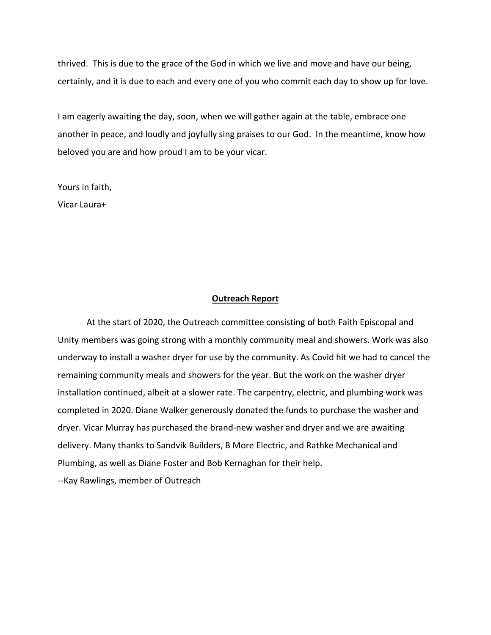thrived. This is due to the grace of the God in which we live and move and have our being, certainly, and it is due to each and every one of you who commit each day to show up for love.

I am eagerly awaiting the day, soon, when we will gather again at the table, embrace one another in peace, and loudly and joyfully sing praises to our God. In the meantime, know how beloved you are and how proud I am to be your vicar.

Yours in faith, Vicar Laura+

### **Outreach Report**

At the start of 2020, the Outreach committee consisting of both Faith Episcopal and Unity members was going strong with a monthly community meal and showers. Work was also underway to install a washer dryer for use by the community. As Covid hit we had to cancel the remaining community meals and showers for the year. But the work on the washer dryer installation continued, albeit at a slower rate. The carpentry, electric, and plumbing work was completed in 2020. Diane Walker generously donated the funds to purchase the washer and dryer. Vicar Murray has purchased the brand-new washer and dryer and we are awaiting delivery. Many thanks to Sandvik Builders, B More Electric, and Rathke Mechanical and Plumbing, as well as Diane Foster and Bob Kernaghan for their help. --Kay Rawlings, member of Outreach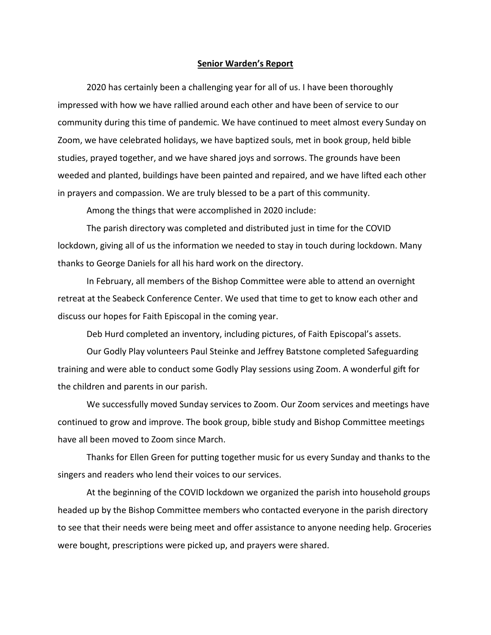#### **Senior Warden's Report**

2020 has certainly been a challenging year for all of us. I have been thoroughly impressed with how we have rallied around each other and have been of service to our community during this time of pandemic. We have continued to meet almost every Sunday on Zoom, we have celebrated holidays, we have baptized souls, met in book group, held bible studies, prayed together, and we have shared joys and sorrows. The grounds have been weeded and planted, buildings have been painted and repaired, and we have lifted each other in prayers and compassion. We are truly blessed to be a part of this community.

Among the things that were accomplished in 2020 include:

The parish directory was completed and distributed just in time for the COVID lockdown, giving all of us the information we needed to stay in touch during lockdown. Many thanks to George Daniels for all his hard work on the directory.

In February, all members of the Bishop Committee were able to attend an overnight retreat at the Seabeck Conference Center. We used that time to get to know each other and discuss our hopes for Faith Episcopal in the coming year.

Deb Hurd completed an inventory, including pictures, of Faith Episcopal's assets.

Our Godly Play volunteers Paul Steinke and Jeffrey Batstone completed Safeguarding training and were able to conduct some Godly Play sessions using Zoom. A wonderful gift for the children and parents in our parish.

We successfully moved Sunday services to Zoom. Our Zoom services and meetings have continued to grow and improve. The book group, bible study and Bishop Committee meetings have all been moved to Zoom since March.

Thanks for Ellen Green for putting together music for us every Sunday and thanks to the singers and readers who lend their voices to our services.

At the beginning of the COVID lockdown we organized the parish into household groups headed up by the Bishop Committee members who contacted everyone in the parish directory to see that their needs were being meet and offer assistance to anyone needing help. Groceries were bought, prescriptions were picked up, and prayers were shared.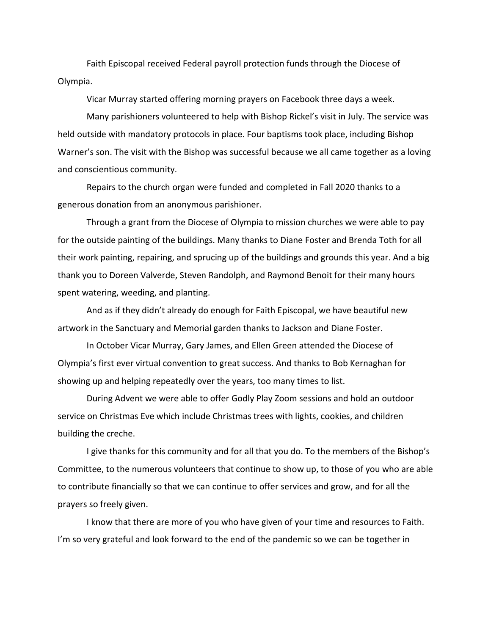Faith Episcopal received Federal payroll protection funds through the Diocese of Olympia.

Vicar Murray started offering morning prayers on Facebook three days a week.

Many parishioners volunteered to help with Bishop Rickel's visit in July. The service was held outside with mandatory protocols in place. Four baptisms took place, including Bishop Warner's son. The visit with the Bishop was successful because we all came together as a loving and conscientious community.

Repairs to the church organ were funded and completed in Fall 2020 thanks to a generous donation from an anonymous parishioner.

Through a grant from the Diocese of Olympia to mission churches we were able to pay for the outside painting of the buildings. Many thanks to Diane Foster and Brenda Toth for all their work painting, repairing, and sprucing up of the buildings and grounds this year. And a big thank you to Doreen Valverde, Steven Randolph, and Raymond Benoit for their many hours spent watering, weeding, and planting.

And as if they didn't already do enough for Faith Episcopal, we have beautiful new artwork in the Sanctuary and Memorial garden thanks to Jackson and Diane Foster.

In October Vicar Murray, Gary James, and Ellen Green attended the Diocese of Olympia's first ever virtual convention to great success. And thanks to Bob Kernaghan for showing up and helping repeatedly over the years, too many times to list.

During Advent we were able to offer Godly Play Zoom sessions and hold an outdoor service on Christmas Eve which include Christmas trees with lights, cookies, and children building the creche.

I give thanks for this community and for all that you do. To the members of the Bishop's Committee, to the numerous volunteers that continue to show up, to those of you who are able to contribute financially so that we can continue to offer services and grow, and for all the prayers so freely given.

I know that there are more of you who have given of your time and resources to Faith. I'm so very grateful and look forward to the end of the pandemic so we can be together in